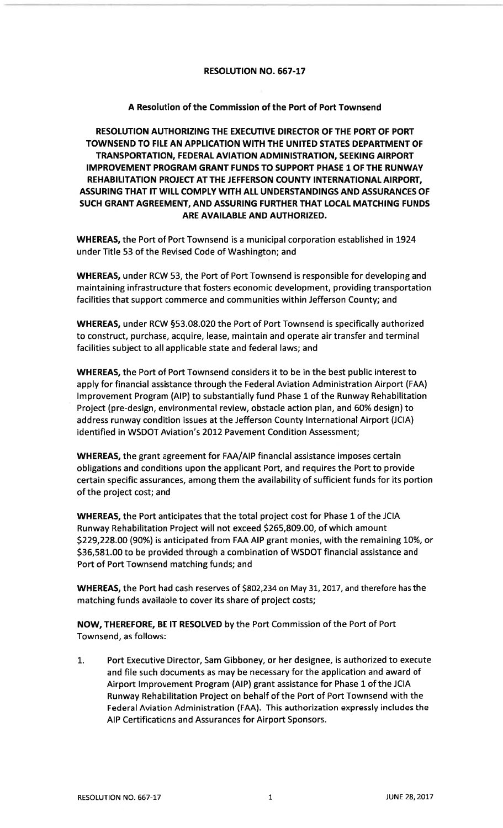## RESOLUTION NO. 667-17

## A Resolution of the Commission of the Port of Port Townsend

RESOLUTION AUTHORIZING THE EXECUTIVE DIRECTOR OF THE PORT OF PORT TOWNSEND TO FILE AN APPIICATION WITH THE UNITED STATES DEPARTMENT OFTRANSPORTATION, FEDERAL AVIATION ADMINISTRATION, SEEKING AIRPORT IMPROVEMENT PROGRAM GRANT FUNDS TO SUPPORT PHASE 1 OF THE RUNWAYREHABILITATION PROJECT AT THE JEFFERSON COUNTY INTERNATIONAL AIRPORT, ASSURING THAT IT WILL COMPLY WITH ALL UNDERSTANDINGS AND ASSURANCES OF SUCH GRANT AGREEMENT, AND ASSURING FURTHER THAT LOCAL MATCHING FUNDSARE AVAILABLE AND AUTHORIZED.

WHEREAS, the Port of Port Townsend is a municipal corporation established in 1924 under Title 53 of the Revised Code of Washington; and

WHEREAS, under RCW 53, the Port of Port Townsend is responsible for developing and maintaining infrastructure that fosters economic development, providing transportationfacilities that support commerce and communities within Jefferson County; and

WHEREAS, under RCW 553.08.020 the Port of Port Townsend is specifically authorized to construct, purchase, acquire, lease, maintain and operate air transfer and terminalfacilities subject to all applicable state and federal laws; and

WHEREAS, the Port of Port Townsend considers it to be in the best public interest to apply for financial assistance through the Federal Aviation Administration Airport (FAA) Improvement Program (AIP) to substantially fund Phase 1 of the Runway Rehabilitation Project (pre-design, environmental review, obstacle action plan, and 60% design) to address runway condition issues at the Jefferson County lnternational Airport (JCIA) identified in WSDOT Aviation's 2012 Pavement Condition Assessment;

WHEREAS, the grant agreement for FAA/AIP financial assistance imposes certain obligations and conditions upon the applicant Port, and requires the Port to provide certain specific assurances, among them the availability of sufficient funds for its portionof the project cost; and

WHEREAS, the Port anticipates that the total project cost for Phase 1 of the JCIARunway Rehabilitation Project will not exceed \$265,809.00, of which amount\$229,228.00 (90%) is anticipated from FAA AIP grant monies, with the remaining 10%, or 536,58L.00 to be provided through a combination of WSDOT financial assistance andPort of Port Townsend matching funds; and

WHEREAS, the Port had cash reserves of \$802,234 on May 31, 2017, and therefore has the matching funds available to cover its share of project costs;

NOW, THEREFORE, BE lT RESOLVED by the Port Commission of the Port of PortTownsend, as follows:

Port Executive Director, Sam Gibboney, or her designee, is authorized to executeand file such documents as may be necessary for the application and award ofAirport lmprovement Program (AlP) grant assistance for Phase 1 of the JCIA Runway Rehabilitation Project on behalf of the Port of Port Townsend with the Federal Aviation Administration (FAA). This authorization expressly includes theAIP Certifications and Assurances for Airport Sponsors.1.